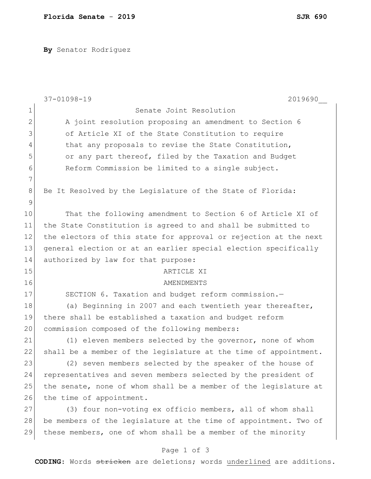**By** Senator Rodriguez

|              | $37 - 01098 - 19$<br>2019690                                     |
|--------------|------------------------------------------------------------------|
| 1            | Senate Joint Resolution                                          |
| $\mathbf{2}$ | A joint resolution proposing an amendment to Section 6           |
| 3            | of Article XI of the State Constitution to require               |
| 4            | that any proposals to revise the State Constitution,             |
| 5            | or any part thereof, filed by the Taxation and Budget            |
| 6            | Reform Commission be limited to a single subject.                |
| 7            |                                                                  |
| 8            | Be It Resolved by the Legislature of the State of Florida:       |
| 9            |                                                                  |
| 10           | That the following amendment to Section 6 of Article XI of       |
| 11           | the State Constitution is agreed to and shall be submitted to    |
| 12           | the electors of this state for approval or rejection at the next |
| 13           | general election or at an earlier special election specifically  |
| 14           | authorized by law for that purpose:                              |
| 15           | ARTICLE XI                                                       |
| 16           | AMENDMENTS                                                       |
| 17           | SECTION 6. Taxation and budget reform commission.-               |
| 18           | (a) Beginning in 2007 and each twentieth year thereafter,        |
| 19           | there shall be established a taxation and budget reform          |
| 20           | commission composed of the following members:                    |
| 21           | (1) eleven members selected by the governor, none of whom        |
| 22           | shall be a member of the legislature at the time of appointment. |
| 23           | (2) seven members selected by the speaker of the house of        |
| 24           | representatives and seven members selected by the president of   |
| 25           | the senate, none of whom shall be a member of the legislature at |
| 26           | the time of appointment.                                         |
| 27           | (3) four non-voting ex officio members, all of whom shall        |
| 28           | be members of the legislature at the time of appointment. Two of |
| 29           | these members, one of whom shall be a member of the minority     |
|              |                                                                  |

## Page 1 of 3

**CODING**: Words stricken are deletions; words underlined are additions.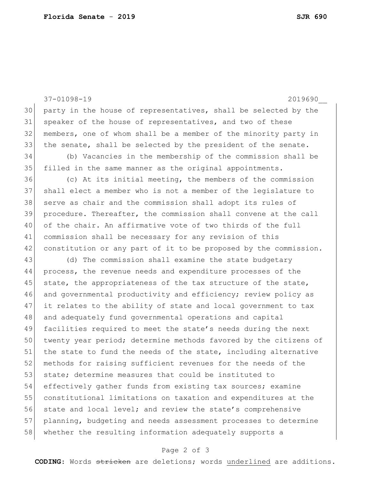37-01098-19 2019690\_\_ 30 party in the house of representatives, shall be selected by the 31 speaker of the house of representatives, and two of these 32 members, one of whom shall be a member of the minority party in 33 the senate, shall be selected by the president of the senate. 34 (b) Vacancies in the membership of the commission shall be 35 filled in the same manner as the original appointments. 36 (c) At its initial meeting, the members of the commission 37 shall elect a member who is not a member of the legislature to 38 serve as chair and the commission shall adopt its rules of 39 procedure. Thereafter, the commission shall convene at the call 40 of the chair. An affirmative vote of two thirds of the full 41 commission shall be necessary for any revision of this 42 constitution or any part of it to be proposed by the commission. 43 (d) The commission shall examine the state budgetary 44 process, the revenue needs and expenditure processes of the  $45$  state, the appropriateness of the tax structure of the state, 46 and governmental productivity and efficiency; review policy as 47 it relates to the ability of state and local government to tax 48 and adequately fund governmental operations and capital 49 facilities required to meet the state's needs during the next 50 twenty year period; determine methods favored by the citizens of 51 the state to fund the needs of the state, including alternative 52 methods for raising sufficient revenues for the needs of the 53 state; determine measures that could be instituted to 54 effectively gather funds from existing tax sources; examine 55 constitutional limitations on taxation and expenditures at the 56 state and local level; and review the state's comprehensive 57 planning, budgeting and needs assessment processes to determine 58 whether the resulting information adequately supports a

## Page 2 of 3

**CODING**: Words stricken are deletions; words underlined are additions.